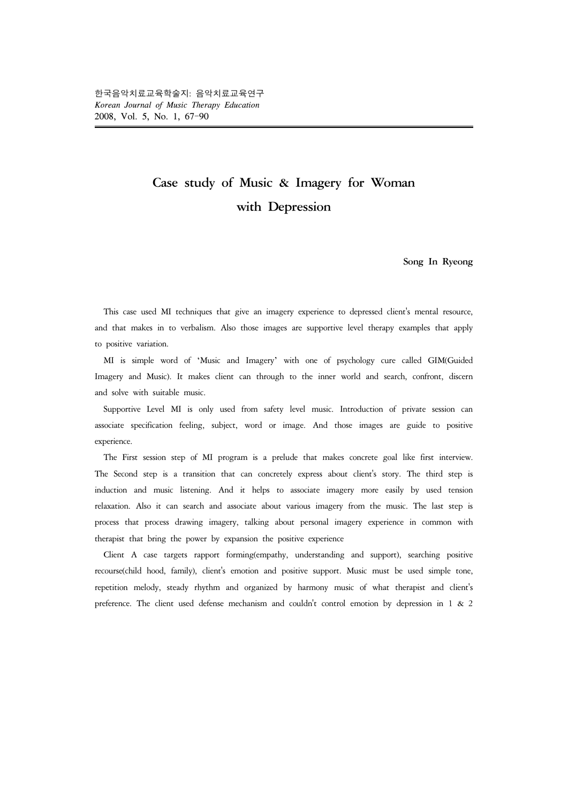## **Case study of Music & Imagery for Woman with Depression**

**Song In Ryeong**

 This case used MI techniques that give an imagery experience to depressed client's mental resource, and that makes in to verbalism. Also those images are supportive level therapy examples that apply to positive variation.

 MI is simple word of 'Music and Imagery' with one of psychology cure called GIM(Guided Imagery and Music). It makes client can through to the inner world and search, confront, discern and solve with suitable music.

 Supportive Level MI is only used from safety level music. Introduction of private session can associate specification feeling, subject, word or image. And those images are guide to positive experience.

 The First session step of MI program is a prelude that makes concrete goal like first interview. The Second step is a transition that can concretely express about client's story. The third step is induction and music listening. And it helps to associate imagery more easily by used tension relaxation. Also it can search and associate about various imagery from the music. The last step is process that process drawing imagery, talking about personal imagery experience in common with therapist that bring the power by expansion the positive experience

 Client A case targets rapport forming(empathy, understanding and support), searching positive recourse(child hood, family), client's emotion and positive support. Music must be used simple tone, repetition melody, steady rhythm and organized by harmony music of what therapist and client's preference. The client used defense mechanism and couldn't control emotion by depression in 1 & 2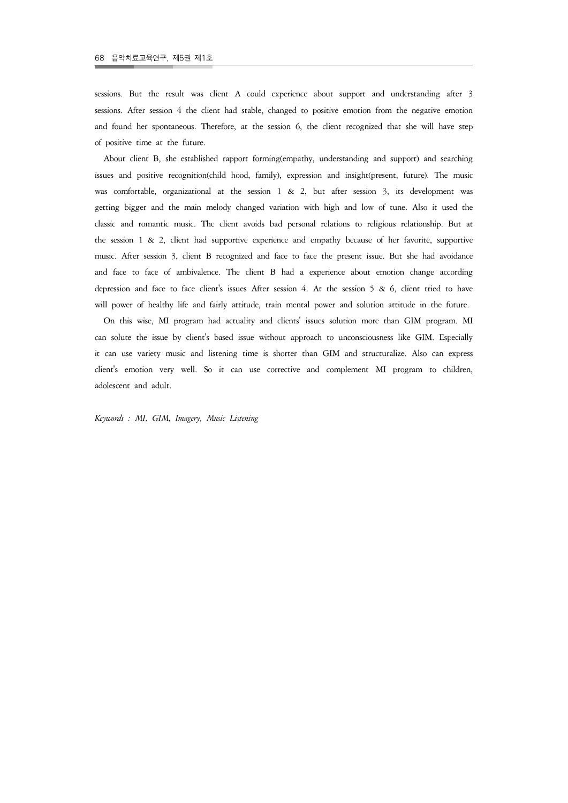sessions. But the result was client A could experience about support and understanding after 3 sessions. After session 4 the client had stable, changed to positive emotion from the negative emotion and found her spontaneous. Therefore, at the session 6, the client recognized that she will have step of positive time at the future.

 About client B, she established rapport forming(empathy, understanding and support) and searching issues and positive recognition(child hood, family), expression and insight(present, future). The music was comfortable, organizational at the session  $1 \& 2$ , but after session 3, its development was getting bigger and the main melody changed variation with high and low of tune. Also it used the classic and romantic music. The client avoids bad personal relations to religious relationship. But at the session 1 & 2, client had supportive experience and empathy because of her favorite, supportive music. After session 3, client B recognized and face to face the present issue. But she had avoidance and face to face of ambivalence. The client B had a experience about emotion change according depression and face to face client's issues After session 4. At the session 5 & 6, client tried to have will power of healthy life and fairly attitude, train mental power and solution attitude in the future.

 On this wise, MI program had actuality and clients' issues solution more than GIM program. MI can solute the issue by client's based issue without approach to unconsciousness like GIM. Especially it can use variety music and listening time is shorter than GIM and structuralize. Also can express client's emotion very well. So it can use corrective and complement MI program to children, adolescent and adult.

*Keywords : MI, GIM, Imagery, Music Listening*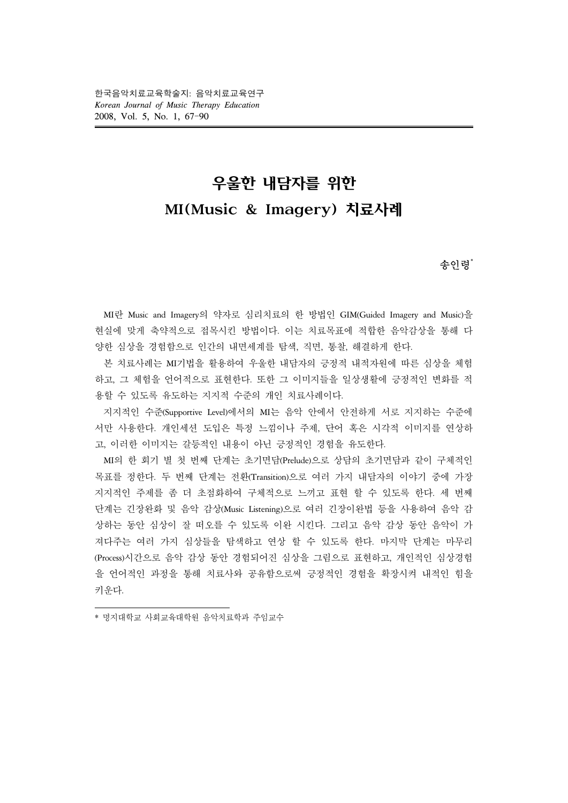한국음악치료교육학술지: 음악치료교육연구 *Korean Journal of Music Therapy Education* 2008, Vol. 5, No. 1, 67-90

# 우울한 내담자를 위한 MI(Music & Imagery) 치료사례

## 송인령**\***

 MI란 Music and Imagery의 약자로 심리치료의 한 방법인 GIM(Guided Imagery and Music)을 현실에 맞게 축약적으로 접목시킨 방법이다. 이는 치료목표에 적합한 음악감상을 통해 다 양한 심상을 경험함으로 인간의 내면세계를 탐색, 직면, 통찰, 해결하게 한다.

 본 치료사례는 MI기법을 활용하여 우울한 내담자의 긍정적 내적자원에 따른 심상을 체험 하고, 그 체험을 언어적으로 표현한다. 또한 그 이미지들을 일상생활에 긍정적인 변화를 적 용할 수 있도록 유도하는 지지적 수준의 개인 치료사례이다.

 지지적인 수준(Supportive Level)에서의 MI는 음악 안에서 안전하게 서로 지지하는 수준에 서만 사용한다. 개인세션 도입은 특정 느낌이나 주제, 단어 혹은 시각적 이미지를 연상하 고, 이러한 이미지는 갈등적인 내용이 아닌 긍정적인 경험을 유도한다.

 MI의 한 회기 별 첫 번째 단계는 초기면담(Prelude)으로 상담의 초기면담과 같이 구체적인 목표를 정한다. 두 번째 단계는 전환(Transition)으로 여러 가지 내담자의 이야기 중에 가장 지지적인 주제를 좀 더 초점화하여 구체적으로 느끼고 표현 할 수 있도록 한다. 세 번째 단계는 긴장완화 및 음악 감상(Music Listening)으로 여러 긴장이완법 등을 사용하여 음악 감 상하는 동안 심상이 잘 떠오를 수 있도록 이완 시킨다. 그리고 음악 감상 동안 음악이 가 져다주는 여러 가지 심상들을 탐색하고 연상 할 수 있도록 한다. 마지막 단계는 마무리 (Process)시간으로 음악 감상 동안 경험되어진 심상을 그림으로 표현하고, 개인적인 심상경험 을 언어적인 과정을 통해 치료사와 공유함으로써 긍정적인 경험을 확장시켜 내적인 힘을 키운다.

<sup>\*</sup> 명지대학교 사회교육대학원 음악치료학과 주임교수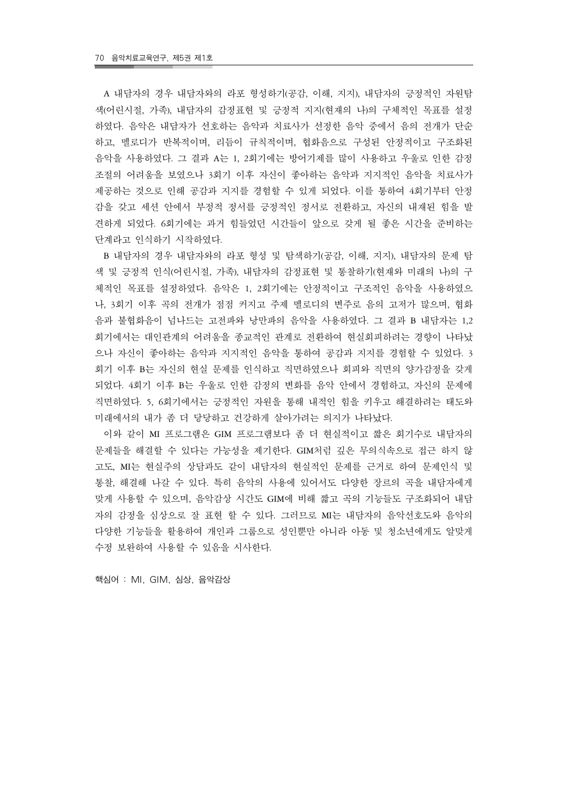A 내담자의 경우 내담자와의 라포 형성하기(공감, 이해, 지지), 내담자의 긍정적인 자원탐 색(어린시절, 가족), 내담자의 감정표현 및 긍정적 지지(현재의 나)의 구체적인 목표를 설정 하였다. 음악은 내담자가 선호하는 음악과 치료사가 선정한 음악 중에서 음의 전개가 단순 하고, 멜로디가 반복적이며, 리듬이 규칙적이며, 협화음으로 구성된 안정적이고 구조화된 음악을 사용하였다. 그 결과 A는 1, 2회기에는 방어기제를 많이 사용하고 우울로 인한 감정 조절의 어려움을 보였으나 3회기 이후 자신이 좋아하는 음악과 지지적인 음악을 치료사가 제공하는 것으로 인해 공감과 지지를 경험할 수 있게 되었다. 이를 통하여 4회기부터 안정 감을 갖고 세션 안에서 부정적 정서를 긍정적인 정서로 전환하고, 자신의 내재된 힘을 발 견하게 되었다. 6회기에는 과거 힘들었던 시간들이 앞으로 갖게 될 좋은 시간을 준비하는 단계라고 인식하기 시작하였다.

 B 내담자의 경우 내담자와의 라포 형성 및 탐색하기(공감, 이해, 지지), 내담자의 문제 탐 색 및 긍정적 인식(어린시절, 가족), 내담자의 감정표현 및 통찰하기(현재와 미래의 나)의 구 체적인 목표를 설정하였다. 음악은 1, 2회기에는 안정적이고 구조적인 음악을 사용하였으 나, 3회기 이후 곡의 전개가 점점 커지고 주제 멜로디의 변주로 음의 고저가 많으며, 협화 음과 불협화음이 넘나드는 고전파와 낭만파의 음악을 사용하였다. 그 결과 B 내담자는 1,2 회기에서는 대인관계의 어려움을 종교적인 관계로 전환하여 현실회피하려는 경향이 나타났 으나 자신이 좋아하는 음악과 지지적인 음악을 통하여 공감과 지지를 경험할 수 있었다. 3 회기 이후 B는 자신의 현실 문제를 인식하고 직면하였으나 회피와 직면의 양가감정을 갖게 되었다. 4회기 이후 B는 우울로 인한 감정의 변화를 음악 안에서 경험하고, 자신의 문제에 직면하였다. 5, 6회기에서는 긍정적인 자원을 통해 내적인 힘을 키우고 해결하려는 태도와 미래에서의 내가 좀 더 당당하고 건강하게 살아가려는 의지가 나타났다.

 이와 같이 MI 프로그램은 GIM 프로그램보다 좀 더 현실적이고 짧은 회기수로 내담자의 문제들을 해결할 수 있다는 가능성을 제기한다. GIM처럼 깊은 무의식속으로 접근 하지 않 고도, MI는 현실주의 상담과도 같이 내담자의 현실적인 문제를 근거로 하여 문제인식 및 통찰, 해결해 나갈 수 있다. 특히 음악의 사용에 있어서도 다양한 장르의 곡을 내담자에게 맞게 사용할 수 있으며, 음악감상 시간도 GIM에 비해 짧고 곡의 기능들도 구조화되어 내담 자의 감정을 심상으로 잘 표현 할 수 있다. 그러므로 MI는 내담자의 음악선호도와 음악의 다양한 기능들을 활용하여 개인과 그룹으로 성인뿐만 아니라 아동 및 청소년에게도 알맞게 수정 보완하여 사용할 수 있음을 시사한다.

핵심어 : MI, GIM, 심상, 음악감상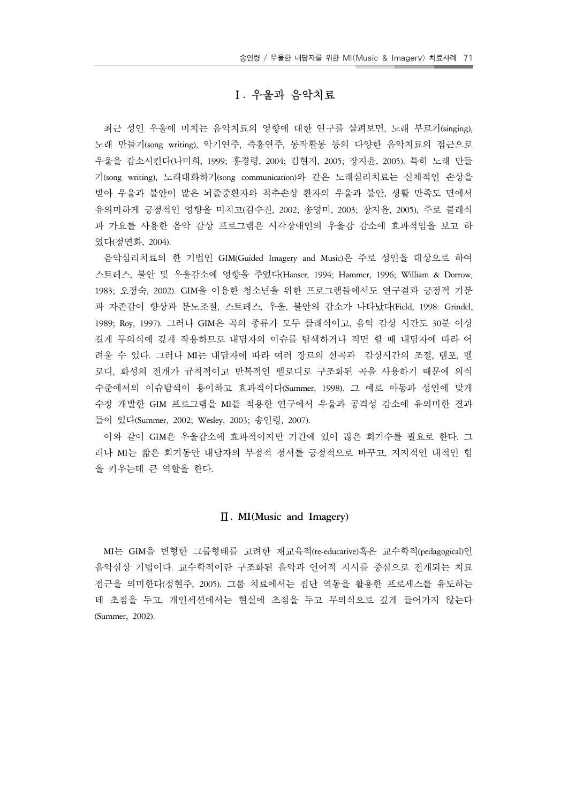## Ⅰ**.** 우울과 음악치료

 최근 성인 우울에 미치는 음악치료의 영향에 대한 연구를 살펴보면, 노래 부르기(singing), 노래 만들기(song writing), 악기연주, 즉흥연주, 동작활동 등의 다양한 음악치료의 접근으로 우울을 감소시킨다(나미희, 1999; 홍경령, 2004; 김현지, 2005; 장지윤, 2005). 특히 노래 만들 기(song writing), 노래대화하기(song communication)와 같은 노래심리치료는 신체적인 손상을 받아 우울과 불안이 많은 뇌졸중환자와 척추손상 환자의 우울과 불안, 생활 만족도 면에서 유의미하게 긍정적인 영향을 미치고(김수진, 2002; 송영미, 2003; 장지윤, 2005), 주로 클래식 과 가요를 사용한 음악 감상 프로그램은 시각장애인의 우울감 감소에 효과적임을 보고 하 였다(정연화, 2004).

 음악심리치료의 한 기법인 GIM(Guided Imagery and Music)은 주로 성인을 대상으로 하여 스트레스, 불안 및 우울감소에 영향을 주었다(Hanser, 1994; Hammer, 1996; William & Dorrow, 1983; 오정숙, 2002). GIM을 이용한 청소년을 위한 프로그램들에서도 연구결과 긍정적 기분 과 자존감이 향상과 분노조절, 스트레스, 우울, 불안의 감소가 나타났다(Field, 1998: Grindel, 1989; Roy, 1997). 그러나 GIM은 곡의 종류가 모두 클래식이고, 음악 감상 시간도 30분 이상 길게 무의식에 깊게 작용하므로 내담자의 이슈를 탐색하거나 직면 할 때 내담자에 따라 어 려울 수 있다. 그러나 MI는 내담자에 따라 여러 장르의 선곡과 감상시간의 조절, 템포, 멜 로디, 화성의 전개가 규칙적이고 반복적인 멜로디로 구조화된 곡을 사용하기 때문에 의식 수준에서의 이슈탐색이 용이하고 효과적이다(Summer, 1998). 그 예로 아동과 성인에 맞게 수정 개발한 GIM 프로그램을 MI를 적용한 연구에서 우울과 공격성 감소에 유의미한 결과 들이 있다(Summer, 2002; Wesley, 2003; 송인령, 2007).

 이와 같이 GIM은 우울감소에 효과적이지만 기간에 있어 많은 회기수를 필요로 한다. 그 러나 MI는 짧은 회기동안 내담자의 부정적 정서를 긍정적으로 바꾸고, 지지적인 내적인 힘 을 키우는데 큰 역할을 한다.

#### Ⅱ**. MI(Music and Imagery)**

MI는 GIM을 변형한 그룹형태를 고려한 재교육적(re-educative)혹은 교수학적(pedagogical)인 음악심상 기법이다. 교수학적이란 구조화된 음악과 언어적 지시를 중심으로 전개되는 치료 접근을 의미한다(정현주, 2005). 그룹 치료에서는 집단 역동을 활용한 프로세스를 유도하는 데 초점을 두고, 개인세션에서는 현실에 초점을 두고 무의식으로 깊게 들어가지 않는다 (Summer, 2002).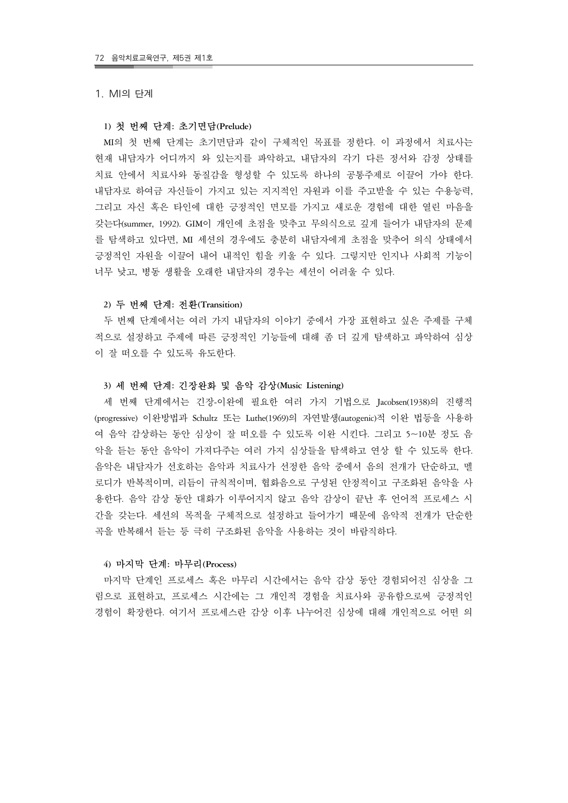#### 1. MI의 단계

#### **1)** 첫 번째 단계**:** 초기면담**(Prelude)**

 MI의 첫 번째 단계는 초기면담과 같이 구체적인 목표를 정한다. 이 과정에서 치료사는 현재 내담자가 어디까지 와 있는지를 파악하고, 내담자의 각기 다른 정서와 감정 상태를 치료 안에서 치료사와 동질감을 형성할 수 있도록 하나의 공통주제로 이끌어 가야 한다. 내담자로 하여금 자신들이 가지고 있는 지지적인 자원과 이를 주고받을 수 있는 수용능력, 그리고 자신 혹은 타인에 대한 긍정적인 면모를 가지고 새로운 경험에 대한 열린 마음을 갖는다(summer, 1992). GIM이 개인에 초점을 맞추고 무의식으로 깊게 들어가 내담자의 문제 를 탐색하고 있다면, MI 세션의 경우에도 충분히 내담자에게 초점을 맞추어 의식 상태에서 긍정적인 자원을 이끌어 내어 내적인 힘을 키울 수 있다. 그렇지만 인지나 사회적 기능이 너무 낮고, 병동 생활을 오래한 내담자의 경우는 세션이 어려울 수 있다.

#### **2)** 두 번째 단계**:** 전환**(Transition)**

 두 번째 단계에서는 여러 가지 내담자의 이야기 중에서 가장 표현하고 싶은 주제를 구체 적으로 설정하고 주제에 따른 긍정적인 기능들에 대해 좀 더 깊게 탐색하고 파악하여 심상 이 잘 떠오를 수 있도록 유도한다.

#### **3)** 세 번째 단계**:** 긴장완화 및 음악 감상**(Music Listening)**

 세 번째 단계에서는 긴장-이완에 필요한 여러 가지 기법으로 Jacobsen(1938)의 진행적 (progressive) 이완방법과 Schultz 또는 Luthe(1969)의 자연발생(autogenic)적 이완 법등을 사용하 여 음악 감상하는 동안 심상이 잘 떠오를 수 있도록 이완 시킨다. 그리고 5~10분 정도 음 악을 듣는 동안 음악이 가져다주는 여러 가지 심상들을 탐색하고 연상 할 수 있도록 한다. 음악은 내담자가 선호하는 음악과 치료사가 선정한 음악 중에서 음의 전개가 단순하고, 멜 로디가 반복적이며, 리듬이 규칙적이며, 협화음으로 구성된 안정적이고 구조화된 음악을 사 용한다. 음악 감상 동안 대화가 이루어지지 않고 음악 감상이 끝난 후 언어적 프로세스 시 간을 갖는다. 세션의 목적을 구체적으로 설정하고 들어가기 때문에 음악적 전개가 단순한 곡을 반복해서 듣는 등 극히 구조화된 음악을 사용하는 것이 바람직하다.

#### **4)** 마지막 단계**:** 마무리**(Process)**

 마지막 단계인 프로세스 혹은 마무리 시간에서는 음악 감상 동안 경험되어진 심상을 그 림으로 표현하고, 프로세스 시간에는 그 개인적 경험을 치료사와 공유함으로써 긍정적인 경험이 확장한다. 여기서 프로세스란 감상 이후 나누어진 심상에 대해 개인적으로 어떤 의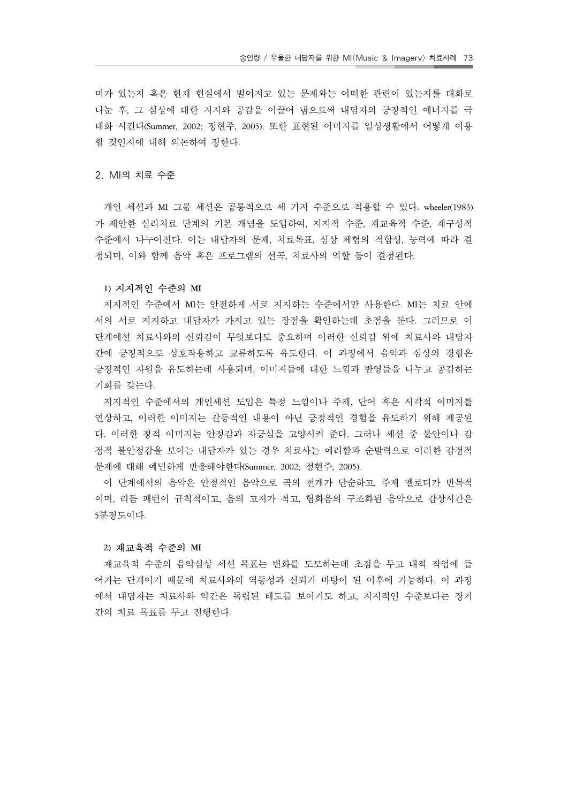미가 있는지 혹은 현재 현실에서 벌어지고 있는 문제와는 어떠한 관련이 있는지를 대화로 나눈 후, 그 심상에 대한 지지와 공감을 이끌어 냄으로써 내담자의 긍정적인 에너지를 극 대화 시킨다(Summer, 2002; 정현주, 2005). 또한 표현된 이미지를 일상생활에서 어떻게 이용 할 것인지에 대해 의논하여 정한다.

### 2. MI의 치료 수준

 개인 세션과 MI 그룹 세션은 공통적으로 세 가지 수준으로 적용할 수 있다. wheeler(1983) 가 제안한 심리치료 단계의 기본 개념을 도입하여, 지지적 수준, 재교육적 수준, 재구성적 수준에서 나누어진다. 이는 내담자의 문제, 치료목표, 심상 체험의 적합성, 능력에 따라 결 정되며, 이와 함께 음악 혹은 프로그램의 선곡, 치료사의 역할 등이 결정된다.

#### **1)** 지지적인 수준의 **MI**

 지지적인 수준에서 MI는 안전하게 서로 지지하는 수준에서만 사용한다. MI는 치료 안에 서의 서로 지지하고 내담자가 가지고 있는 장점을 확인하는데 초점을 둔다. 그러므로 이 단계에선 치료사와의 신뢰감이 무엇보다도 중요하며 이러한 신뢰감 위에 치료사와 내담자 간에 긍정적으로 상호작용하고 교류하도록 유도한다. 이 과정에서 음악과 심상의 경험은 긍정적인 자원을 유도하는데 사용되며, 이미지들에 대한 느낌과 반영들을 나누고 공감하는 기회를 갖는다.

 지지적인 수준에서의 개인세션 도입은 특정 느낌이나 주제, 단어 혹은 시각적 이미지를 연상하고, 이러한 이미지는 갈등적인 내용이 아닌 긍정적인 경험을 유도하기 위해 제공된 다. 이러한 정적 이미지는 안정감과 자긍심을 고양시켜 준다. 그러나 세션 중 불안이나 감 정적 불안정감을 보이는 내담자가 있는 경우 치료사는 예리함과 순발력으로 이러한 감정적 문제에 대해 예민하게 반응해야한다(Summer, 2002; 정현주, 2005).

 이 단계에서의 음악은 안정적인 음악으로 곡의 전개가 단순하고, 주제 멜로디가 반복적 이며, 리듬 패턴이 규칙적이고, 음의 고저가 적고, 협화음의 구조화된 음악으로 감상시간은 5분정도이다.

#### **2)** 재교육적 수준의 **MI**

 재교육적 수준의 음악심상 세션 목표는 변화를 도모하는데 초점을 두고 내적 작업에 들 어가는 단계이기 때문에 치료사와의 역동성과 신뢰가 바탕이 된 이후에 가능하다. 이 과정 에서 내담자는 치료사와 약간은 독립된 태도를 보이기도 하고, 지지적인 수준보다는 장기 간의 치료 목표를 두고 진행한다.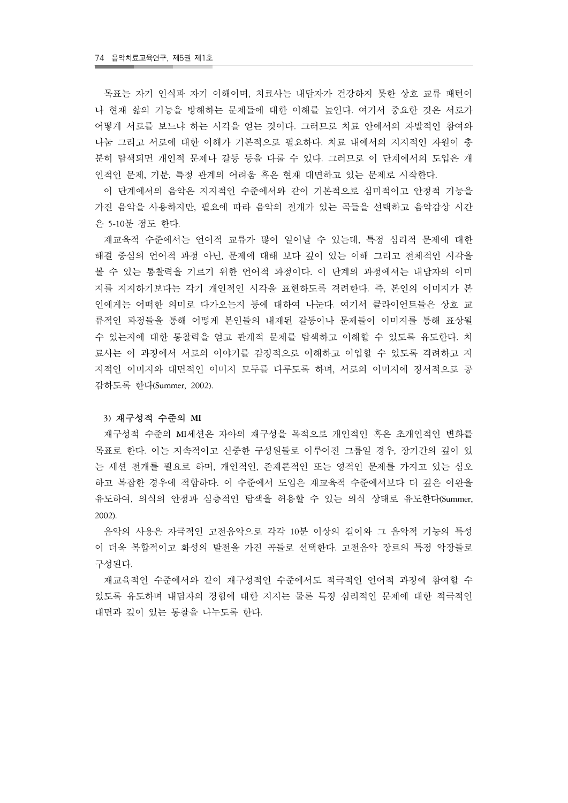목표는 자기 인식과 자기 이해이며, 치료사는 내담자가 건강하지 못한 상호 교류 패턴이 나 현재 삶의 기능을 방해하는 문제들에 대한 이해를 높인다. 여기서 중요한 것은 서로가 어떻게 서로를 보느냐 하는 시각을 얻는 것이다. 그러므로 치료 안에서의 자발적인 참여와 나눔 그리고 서로에 대한 이해가 기본적으로 필요하다. 치료 내에서의 지지적인 자원이 충 분히 탐색되면 개인적 문제나 갈등 등을 다룰 수 있다. 그러므로 이 단계에서의 도입은 개 인적인 문제, 기분, 특정 관계의 어려움 혹은 현재 대면하고 있는 문제로 시작한다.

 이 단계에서의 음악은 지지적인 수준에서와 같이 기본적으로 심미적이고 안정적 기능을 가진 음악을 사용하지만, 필요에 따라 음악의 전개가 있는 곡들을 선택하고 음악감상 시간 은 5-10분 정도 한다.

 재교육적 수준에서는 언어적 교류가 많이 일어날 수 있는데, 특정 심리적 문제에 대한 해결 중심의 언어적 과정 아닌, 문제에 대해 보다 깊이 있는 이해 그리고 전체적인 시각을 볼 수 있는 통찰력을 기르기 위한 언어적 과정이다. 이 단계의 과정에서는 내담자의 이미 지를 지지하기보다는 각기 개인적인 시각을 표현하도록 격려한다. 즉, 본인의 이미지가 본 인에게는 어떠한 의미로 다가오는지 등에 대하여 나눈다. 여기서 클라이언트들은 상호 교 류적인 과정들을 통해 어떻게 본인들의 내재된 갈등이나 문제들이 이미지를 통해 표상될 수 있는지에 대한 통찰력을 얻고 관계적 문제를 탐색하고 이해할 수 있도록 유도한다. 치 료사는 이 과정에서 서로의 이야기를 감정적으로 이해하고 이입할 수 있도록 격려하고 지 지적인 이미지와 대면적인 이미지 모두를 다루도록 하며, 서로의 이미지에 정서적으로 공 감하도록 한다(Summer, 2002).

#### **3)** 재구성적 수준의 **MI**

 재구성적 수준의 MI세션은 자아의 재구성을 목적으로 개인적인 혹은 초개인적인 변화를 목표로 한다. 이는 지속적이고 신중한 구성원들로 이루어진 그룹일 경우, 장기간의 깊이 있 는 세션 전개를 필요로 하며, 개인적인, 존재론적인 또는 영적인 문제를 가지고 있는 심오 하고 복잡한 경우에 적합하다. 이 수준에서 도입은 재교육적 수준에서보다 더 깊은 이완을 유도하여, 의식의 안정과 심층적인 탐색을 허용할 수 있는 의식 상태로 유도한다(Summer, 2002).

 음악의 사용은 자극적인 고전음악으로 각각 10분 이상의 길이와 그 음악적 기능의 특성 이 더욱 복합적이고 화성의 발전을 가진 곡들로 선택한다. 고전음악 장르의 특정 악장들로 구성된다.

 재교육적인 수준에서와 같이 재구성적인 수준에서도 적극적인 언어적 과정에 참여할 수 있도록 유도하며 내담자의 경험에 대한 지지는 물론 특정 심리적인 문제에 대한 적극적인 대면과 깊이 있는 통찰을 나누도록 한다.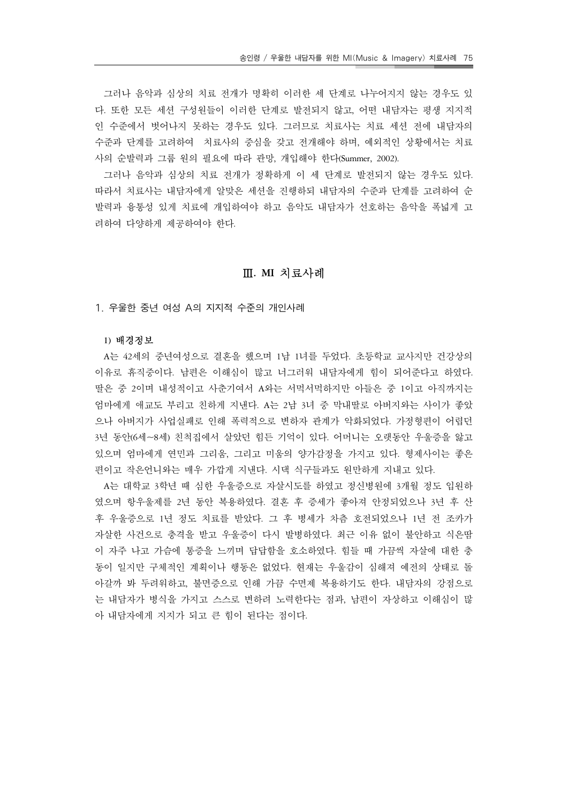그러나 음악과 심상의 치료 전개가 명확히 이러한 세 단계로 나누어지지 않는 경우도 있 다. 또한 모든 세션 구성원들이 이러한 단계로 발전되지 않고, 어떤 내담자는 평생 지지적 인 수준에서 벗어나지 못하는 경우도 있다. 그러므로 치료사는 치료 세션 전에 내담자의 수준과 단계를 고려하여 치료사의 중심을 갖고 전개해야 하며, 예외적인 상황에서는 치료 사의 순발력과 그룹 원의 필요에 따라 관망, 개입해야 한다(Summer, 2002).

 그러나 음악과 심상의 치료 전개가 정확하게 이 세 단계로 발전되지 않는 경우도 있다. 따라서 치료사는 내담자에게 알맞은 세션을 진행하되 내담자의 수준과 단계를 고려하여 순 발력과 융통성 있게 치료에 개입하여야 하고 음악도 내담자가 선호하는 음악을 폭넓게 고 려하여 다양하게 제공하여야 한다.

## Ⅲ**. MI** 치료사례

1. 우울한 중년 여성 A의 지지적 수준의 개인사례

#### **1)** 배경정보

 A는 42세의 중년여성으로 결혼을 했으며 1남 1녀를 두었다. 초등학교 교사지만 건강상의 이유로 휴직중이다. 남편은 이해심이 많고 너그러워 내담자에게 힘이 되어준다고 하였다. 딸은 중 2이며 내성적이고 사춘기여서 A와는 서먹서먹하지만 아들은 중 1이고 아직까지는 엄마에게 애교도 부리고 친하게 지낸다. A는 2남 3녀 중 막내딸로 아버지와는 사이가 좋았 으나 아버지가 사업실패로 인해 폭력적으로 변하자 관계가 악화되었다. 가정형편이 어렵던 3년 동안(6세~8세) 친척집에서 살았던 힘든 기억이 있다. 어머니는 오랫동안 우울증을 앓고 있으며 엄마에게 연민과 그리움, 그리고 미움의 양가감정을 가지고 있다. 형제사이는 좋은 편이고 작은언니와는 매우 가깝게 지낸다. 시댁 식구들과도 원만하게 지내고 있다.

 A는 대학교 3학년 때 심한 우울증으로 자살시도를 하였고 정신병원에 3개월 정도 입원하 였으며 항우울제를 2년 동안 복용하였다. 결혼 후 증세가 좋아져 안정되었으나 3년 후 산 후 우울증으로 1년 정도 치료를 받았다. 그 후 병세가 차츰 호전되었으나 1년 전 조카가 자살한 사건으로 충격을 받고 우울증이 다시 발병하였다. 최근 이유 없이 불안하고 식은땀 이 자주 나고 가슴에 통증을 느끼며 답답함을 호소하였다. 힘들 때 가끔씩 자살에 대한 충 동이 일지만 구체적인 계획이나 행동은 없었다. 현재는 우울감이 심해져 예전의 상태로 돌 아갈까 봐 두려워하고, 불면증으로 인해 가끔 수면제 복용하기도 한다. 내담자의 강점으로 는 내담자가 병식을 가지고 스스로 변하려 노력한다는 점과, 남편이 자상하고 이해심이 많 아 내담자에게 지지가 되고 큰 힘이 된다는 점이다.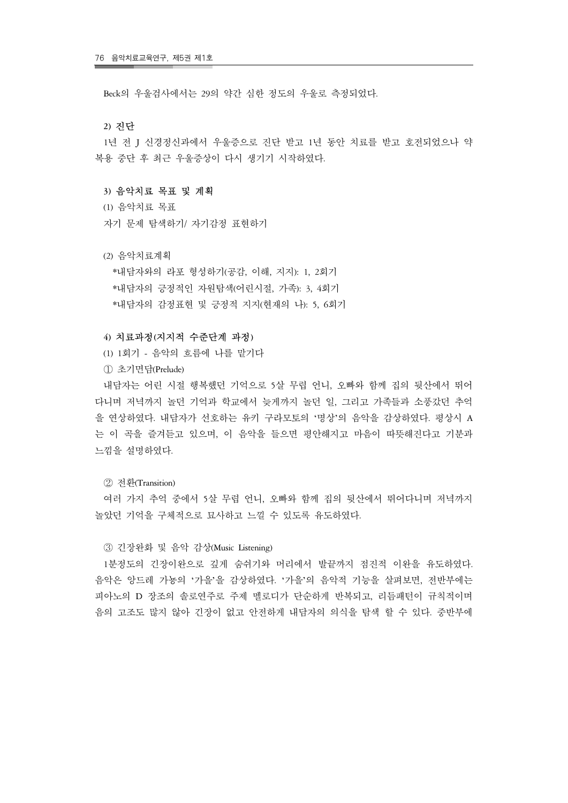Beck의 우울검사에서는 29의 약간 심한 정도의 우울로 측정되었다.

#### **2)** 진단

 1년 전 J 신경정신과에서 우울증으로 진단 받고 1년 동안 치료를 받고 호전되었으나 약 복용 중단 후 최근 우울증상이 다시 생기기 시작하였다.

#### **3)** 음악치료 목표 및 계획

- (1) 음악치료 목표
- 자기 문제 탐색하기/ 자기감정 표현하기
- (2) 음악치료계획

 \*내담자와의 라포 형성하기(공감, 이해, 지지): 1, 2회기 \*내담자의 긍정적인 자원탐색(어린시절, 가족): 3, 4회기 \*내담자의 감정표현 및 긍정적 지지(현재의 나): 5, 6회기

#### **4)** 치료과정**(**지지적 수준단계 과정**)**

- (1) 1회기 음악의 흐름에 나를 맡기다
- ① 초기면담(Prelude)

 내담자는 어린 시절 행복했던 기억으로 5살 무렵 언니, 오빠와 함께 집의 뒷산에서 뛰어 다니며 저녁까지 놀던 기억과 학교에서 늦게까지 놀던 일, 그리고 가족들과 소풍갔던 추억 을 연상하였다. 내담자가 선호하는 유키 구라모토의 '명상'의 음악을 감상하였다. 평상시 A 는 이 곡을 즐겨듣고 있으며, 이 음악을 들으면 평안해지고 마음이 따뜻해진다고 기분과 느낌을 설명하였다.

② 전환(Transition)

 여러 가지 추억 중에서 5살 무렵 언니, 오빠와 함께 집의 뒷산에서 뛰어다니며 저녁까지 놀았던 기억을 구체적으로 묘사하고 느낄 수 있도록 유도하였다.

#### ③ 긴장완화 및 음악 감상(Music Listening)

 1분정도의 긴장이완으로 깊게 숨쉬기와 머리에서 발끝까지 점진적 이완을 유도하였다. 음악은 앙드레 가뇽의 '가을'을 감상하였다. '가을'의 음악적 기능을 살펴보면, 전반부에는 피아노의 D 장조의 솔로연주로 주제 멜로디가 단순하게 반복되고, 리듬패턴이 규칙적이며 음의 고조도 많지 않아 긴장이 없고 안전하게 내담자의 의식을 탐색 할 수 있다. 중반부에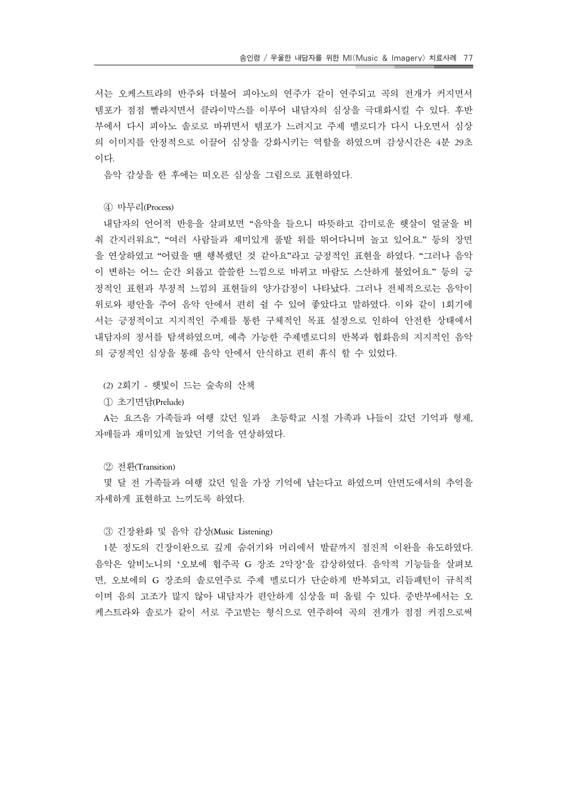서는 오케스트라의 반주와 더불어 피아노의 연주가 같이 연주되고 곡의 전개가 커지면서 템포가 점점 빨라지면서 클라이막스를 이루어 내담자의 심상을 극대화시킬 수 있다. 후반 부에서 다시 피아노 솔로로 바뀌면서 템포가 느려지고 주제 멜로디가 다시 나오면서 심상 의 이미지를 안정적으로 이끌어 심상을 강화시키는 역할을 하였으며 감상시간은 4분 29초 이다.

음악 감상을 한 후에는 떠오른 심상을 그림으로 표현하였다.

④ 마무리(Process)

 내담자의 언어적 반응을 살펴보면 "음악을 들으니 따뜻하고 감미로운 햇살이 얼굴을 비 춰 간지러워요", "여러 사람들과 재미있게 풀밭 위를 뛰어다니며 놀고 있어요." 등의 장면 을 연상하였고 "어렸을 땐 행복했던 것 같아요"라고 긍정적인 표현을 하였다. "그러나 음악 이 변하는 어느 순간 외롭고 쓸쓸한 느낌으로 바뀌고 바람도 스산하게 불었어요." 등의 긍 정적인 표현과 부정적 느낌의 표현들의 양가감정이 나타났다. 그러나 전체적으로는 음악이 위로와 평안을 주어 음악 안에서 편히 쉴 수 있어 좋았다고 말하였다. 이와 같이 1회기에 서는 긍정적이고 지지적인 주제를 통한 구체적인 목표 설정으로 인하여 안전한 상태에서 내담자의 정서를 탐색하였으며, 예측 가능한 주제멜로디의 반복과 협화음의 지지적인 음악 의 긍정적인 심상을 통해 음악 안에서 안식하고 편히 휴식 할 수 있었다.

(2) 2회기 - 햇빛이 드는 숲속의 산책

① 초기면담(Prelude)

 A는 요즈음 가족들과 여행 갔던 일과 초등학교 시절 가족과 나들이 갔던 기억과 형제, 자매들과 재미있게 놀았던 기억을 연상하였다.

② 전환(Transition)

 몇 달 전 가족들과 여행 갔던 일을 가장 기억에 남는다고 하였으며 안면도에서의 추억을 자세하게 표현하고 느끼도록 하였다.

③ 긴장완화 및 음악 감상(Music Listening)

 1분 정도의 긴장이완으로 깊게 숨쉬기와 머리에서 발끝까지 점진적 이완을 유도하였다. 음악은 알비노니의 '오보에 협주곡 G 장조 2악장'을 감상하였다. 음악적 기능들을 살펴보 면, 오보에의 G 장조의 솔로연주로 주제 멜로디가 단순하게 반복되고, 리듬패턴이 규칙적 이며 음의 고조가 많지 않아 내담자가 편안하게 심상을 떠 올릴 수 있다. 중반부에서는 오 케스트라와 솔로가 같이 서로 주고받는 형식으로 연주하여 곡의 전개가 점점 커짐으로써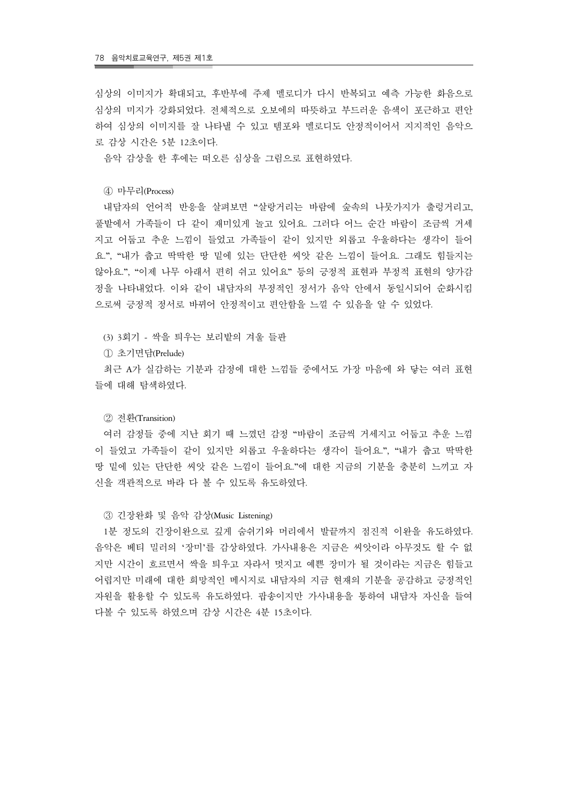심상의 이미지가 확대되고, 후반부에 주제 멜로디가 다시 반복되고 예측 가능한 화음으로 심상의 미지가 강화되었다. 전체적으로 오보에의 따뜻하고 부드러운 음색이 포근하고 편안 하여 심상의 이미지를 잘 나타낼 수 있고 템포와 멜로디도 안정적이어서 지지적인 음악으 로 감상 시간은 5분 12초이다.

음악 감상을 한 후에는 떠오른 심상을 그림으로 표현하였다.

④ 마무리(Process)

 내담자의 언어적 반응을 살펴보면 "살랑거리는 바람에 숲속의 나뭇가지가 출렁거리고, 풀밭에서 가족들이 다 같이 재미있게 놀고 있어요. 그러다 어느 순간 바람이 조금씩 거세 지고 어둡고 추운 느낌이 들었고 가족들이 같이 있지만 외롭고 우울하다는 생각이 들어 요.", "내가 춥고 딱딱한 땅 밑에 있는 단단한 씨앗 같은 느낌이 들어요. 그래도 힘들지는 않아요.", "이제 나무 아래서 편히 쉬고 있어요" 등의 긍정적 표현과 부정적 표현의 양가감 정을 나타내었다. 이와 같이 내담자의 부정적인 정서가 음악 안에서 동일시되어 순화시킴 으로써 긍정적 정서로 바뀌어 안정적이고 편안함을 느낄 수 있음을 알 수 있었다.

(3) 3회기 - 싹을 틔우는 보리밭의 겨울 들판

① 초기면담(Prelude)

 최근 A가 실감하는 기분과 감정에 대한 느낌들 중에서도 가장 마음에 와 닿는 여러 표현 들에 대해 탐색하였다.

#### ② 전환(Transition)

 여러 감정들 중에 지난 회기 때 느꼈던 감정 "바람이 조금씩 거세지고 어둡고 추운 느낌 이 들었고 가족들이 같이 있지만 외롭고 우울하다는 생각이 들어요.", "내가 춥고 딱딱한 땅 밑에 있는 단단한 씨앗 같은 느낌이 들어요."에 대한 지금의 기분을 충분히 느끼고 자 신을 객관적으로 바라 다 볼 수 있도록 유도하였다.

#### ③ 긴장완화 및 음악 감상(Music Listening)

 1분 정도의 긴장이완으로 깊게 숨쉬기와 머리에서 발끝까지 점진적 이완을 유도하였다. 음악은 베티 밀러의 '장미'를 감상하였다. 가사내용은 지금은 씨앗이라 아무것도 할 수 없 지만 시간이 흐르면서 싹을 틔우고 자라서 멋지고 예쁜 장미가 될 것이라는 지금은 힘들고 어렵지만 미래에 대한 희망적인 메시지로 내담자의 지금 현재의 기분을 공감하고 긍정적인 자원을 활용할 수 있도록 유도하였다. 팝송이지만 가사내용을 통하여 내담자 자신을 들여 다볼 수 있도록 하였으며 감상 시간은 4분 15초이다.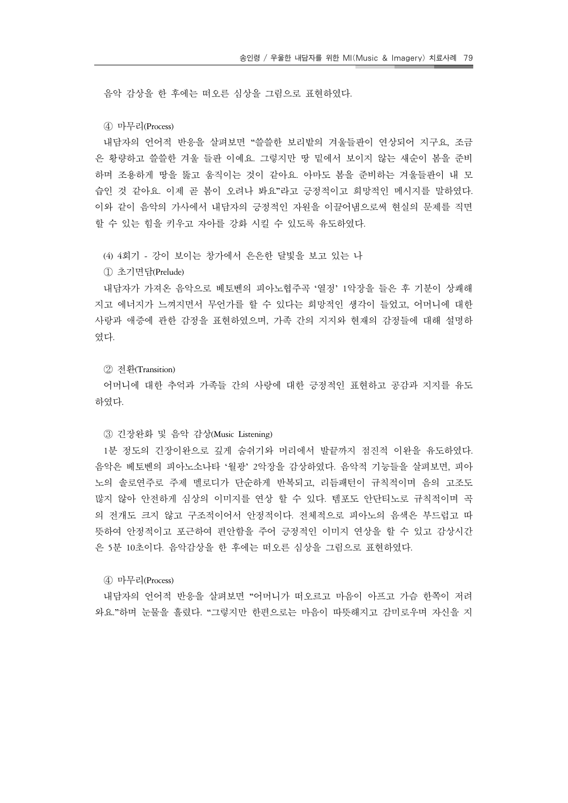음악 감상을 한 후에는 떠오른 심상을 그림으로 표현하였다.

④ 마무리(Process)

 내담자의 언어적 반응을 살펴보면 "쓸쓸한 보리밭의 겨울들판이 연상되어 지구요, 조금 은 황량하고 쓸쓸한 겨울 들판 이예요. 그렇지만 땅 밑에서 보이지 않는 새순이 봄을 준비 하며 조용하게 땅을 뚫고 움직이는 것이 같아요. 아마도 봄을 준비하는 겨울들판이 내 모 습인 것 같아요. 이제 곧 봄이 오려나 봐요"라고 긍정적이고 희망적인 메시지를 말하였다. 이와 같이 음악의 가사에서 내담자의 긍정적인 자원을 이끌어냄으로써 현실의 문제를 직면 할 수 있는 힘을 키우고 자아를 강화 시킬 수 있도록 유도하였다.

(4) 4회기 - 강이 보이는 창가에서 은은한 달빛을 보고 있는 나

① 초기면담(Prelude)

 내담자가 가져온 음악으로 베토벤의 피아노협주곡 '열정' 1악장을 들은 후 기분이 상쾌해 지고 에너지가 느껴지면서 무언가를 할 수 있다는 희망적인 생각이 들었고, 어머니에 대한 사랑과 애증에 관한 감정을 표현하였으며, 가족 간의 지지와 현재의 감정들에 대해 설명하 였다.

## ② 전환(Transition)

 어머니에 대한 추억과 가족들 간의 사랑에 대한 긍정적인 표현하고 공감과 지지를 유도 하였다.

③ 긴장완화 및 음악 감상(Music Listening)

 1분 정도의 긴장이완으로 깊게 숨쉬기와 머리에서 발끝까지 점진적 이완을 유도하였다. 음악은 베토벤의 피아노소나타 '월광' 2악장을 감상하였다. 음악적 기능들을 살펴보면, 피아 노의 솔로연주로 주제 멜로디가 단순하게 반복되고, 리듬패턴이 규칙적이며 음의 고조도 많지 않아 안전하게 심상의 이미지를 연상 할 수 있다. 템포도 안단티노로 규칙적이며 곡 의 전개도 크지 않고 구조적이어서 안정적이다. 전체적으로 피아노의 음색은 부드럽고 따 뜻하여 안정적이고 포근하여 편안함을 주어 긍정적인 이미지 연상을 할 수 있고 감상시간 은 5분 10초이다. 음악감상을 한 후에는 떠오른 심상을 그림으로 표현하였다.

④ 마무리(Process)

 내담자의 언어적 반응을 살펴보면 "어머니가 떠오르고 마음이 아프고 가슴 한쪽이 저려 와요."하며 눈물을 흘렸다. "그렇지만 한편으로는 마음이 따뜻해지고 감미로우며 자신을 지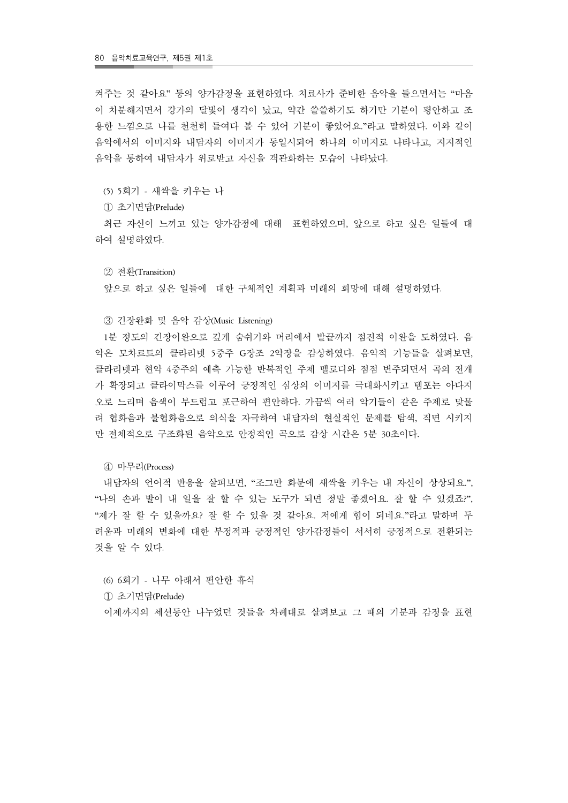켜주는 것 같아요" 등의 양가감정을 표현하였다. 치료사가 준비한 음악을 들으면서는 "마음 이 차분해지면서 강가의 달빛이 생각이 났고, 약간 쓸쓸하기도 하기만 기분이 평안하고 조 용한 느낌으로 나를 천천히 들여다 볼 수 있어 기분이 좋았어요."라고 말하였다. 이와 같이 음악에서의 이미지와 내담자의 이미지가 동일시되어 하나의 이미지로 나타나고, 지지적인 음악을 통하여 내담자가 위로받고 자신을 객관화하는 모습이 나타났다.

(5) 5회기 - 새싹을 키우는 나

① 초기면담(Prelude)

 최근 자신이 느끼고 있는 양가감정에 대해 표현하였으며, 앞으로 하고 싶은 일들에 대 하여 설명하였다.

② 전환(Transition)

앞으로 하고 싶은 일들에 대한 구체적인 계획과 미래의 희망에 대해 설명하였다.

③ 긴장완화 및 음악 감상(Music Listening)

 1분 정도의 긴장이완으로 깊게 숨쉬기와 머리에서 발끝까지 점진적 이완을 도하였다. 음 악은 모차르트의 클라리넷 5중주 G장조 2악장을 감상하였다. 음악적 기능들을 살펴보면, 클라리넷과 현악 4중주의 예측 가능한 반복적인 주제 멜로디와 점점 변주되면서 곡의 전개 가 확장되고 클라이막스를 이루어 긍정적인 심상의 이미지를 극대화시키고 템포는 아다지 오로 느리며 음색이 부드럽고 포근하여 편안하다. 가끔씩 여러 악기들이 같은 주제로 맞물 려 협화음과 불협화음으로 의식을 자극하여 내담자의 현실적인 문제를 탐색, 직면 시키지 만 전체적으로 구조화된 음악으로 안정적인 곡으로 감상 시간은 5분 30초이다.

④ 마무리(Process)

 내담자의 언어적 반응을 살펴보면, "조그만 화분에 새싹을 키우는 내 자신이 상상되요.", "나의 손과 발이 내 일을 잘 할 수 있는 도구가 되면 정말 좋겠어요. 잘 할 수 있겠죠?", "제가 잘 할 수 있을까요? 잘 할 수 있을 것 같아요. 저에게 힘이 되네요."라고 말하며 두 려움과 미래의 변화에 대한 부정적과 긍정적인 양가감정들이 서서히 긍정적으로 전환되는 것을 알 수 있다.

 (6) 6회기 - 나무 아래서 편안한 휴식 ① 초기면담(Prelude)

이제까지의 세션동안 나누었던 것들을 차례대로 살펴보고 그 때의 기분과 감정을 표현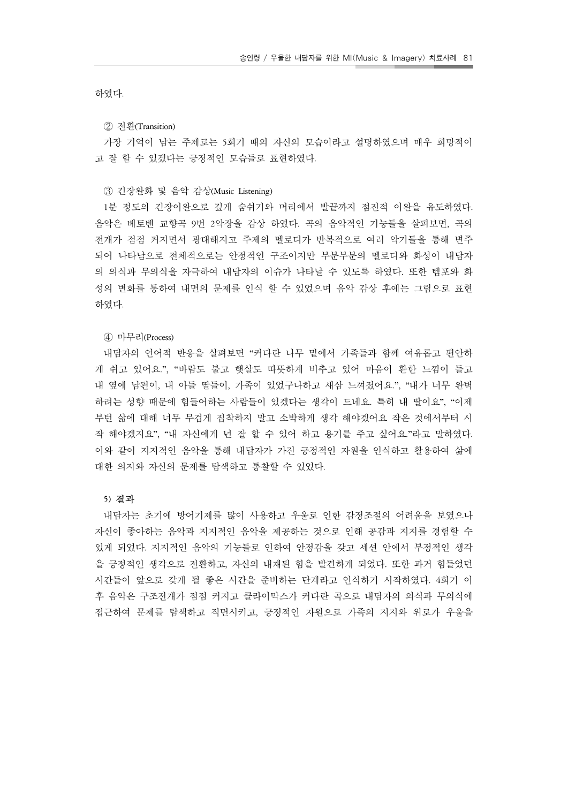하였다.

#### ② 전환(Transition)

 가장 기억이 남는 주제로는 5회기 때의 자신의 모습이라고 설명하였으며 매우 희망적이 고 잘 할 수 있겠다는 긍정적인 모습들로 표현하였다.

#### ③ 긴장완화 및 음악 감상(Music Listening)

 1분 정도의 긴장이완으로 깊게 숨쉬기와 머리에서 발끝까지 점진적 이완을 유도하였다. 음악은 베토벤 교향곡 9번 2악장을 감상 하였다. 곡의 음악적인 기능들을 살펴보면, 곡의 전개가 점점 커지면서 광대해지고 주제의 멜로디가 반복적으로 여러 악기들을 통해 변주 되어 나타남으로 전체적으로는 안정적인 구조이지만 부분부분의 멜로디와 화성이 내담자 의 의식과 무의식을 자극하여 내담자의 이슈가 나타날 수 있도록 하였다. 또한 템포와 화 성의 변화를 통하여 내면의 문제를 인식 할 수 있었으며 음악 감상 후에는 그림으로 표현 하였다.

#### ④ 마무리(Process)

 내담자의 언어적 반응을 살펴보면 "커다란 나무 밑에서 가족들과 함께 여유롭고 편안하 게 쉬고 있어요.", "바람도 불고 햇살도 따뜻하게 비추고 있어 마음이 환한 느낌이 들고 내 옆에 남편이, 내 아들 딸들이, 가족이 있었구나하고 새삼 느껴졌어요.", "내가 너무 완벽 하려는 성향 때문에 힘들어하는 사람들이 있겠다는 생각이 드네요. 특히 내 딸이요", "이제 부턴 삶에 대해 너무 무겁게 집착하지 말고 소박하게 생각 해야겠어요 작은 것에서부터 시 작 해야겠지요", "내 자신에게 넌 잘 할 수 있어 하고 용기를 주고 싶어요."라고 말하였다. 이와 같이 지지적인 음악을 통해 내담자가 가진 긍정적인 자원을 인식하고 활용하여 삶에 대한 의지와 자신의 문제를 탐색하고 통찰할 수 있었다.

#### **5)** 결과

 내담자는 초기에 방어기제를 많이 사용하고 우울로 인한 감정조절의 어려움을 보였으나 자신이 좋아하는 음악과 지지적인 음악을 제공하는 것으로 인해 공감과 지지를 경험할 수 있게 되었다. 지지적인 음악의 기능들로 인하여 안정감을 갖고 세션 안에서 부정적인 생각 을 긍정적인 생각으로 전환하고, 자신의 내재된 힘을 발견하게 되었다. 또한 과거 힘들었던 시간들이 앞으로 갖게 될 좋은 시간을 준비하는 단계라고 인식하기 시작하였다. 4회기 이 후 음악은 구조전개가 점점 커지고 클라이막스가 커다란 곡으로 내담자의 의식과 무의식에 접근하여 문제를 탐색하고 직면시키고, 긍정적인 자원으로 가족의 지지와 위로가 우울을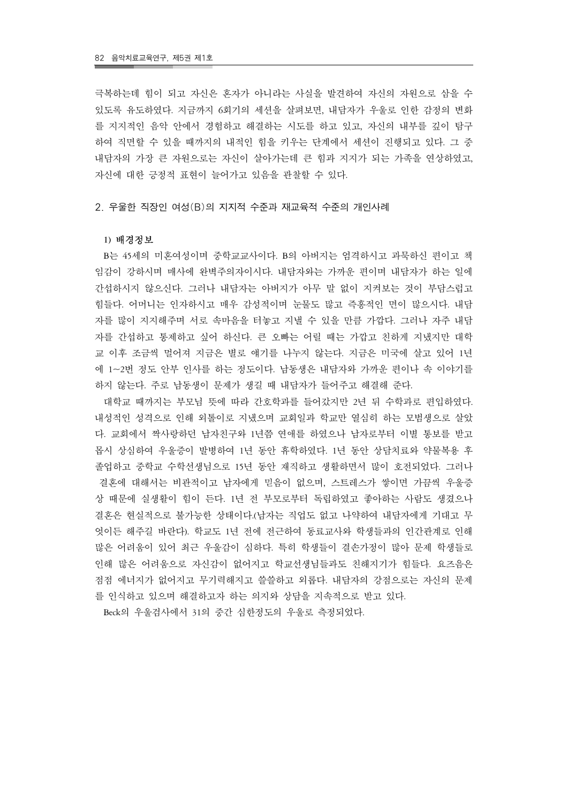극복하는데 힘이 되고 자신은 혼자가 아니라는 사실을 발견하여 자신의 자원으로 삼을 수 있도록 유도하였다. 지금까지 6회기의 세션을 살펴보면, 내담자가 우울로 인한 감정의 변화 를 지지적인 음악 안에서 경험하고 해결하는 시도를 하고 있고, 자신의 내부를 깊이 탐구 하여 직면할 수 있을 때까지의 내적인 힘을 키우는 단계에서 세션이 진행되고 있다. 그 중 내담자의 가장 큰 자원으로는 자신이 살아가는데 큰 힘과 지지가 되는 가족을 연상하였고, 자신에 대한 긍정적 표현이 늘어가고 있음을 관찰할 수 있다.

2. 우울한 직장인 여성(B)의 지지적 수준과 재교육적 수준의 개인사례

#### **1)** 배경정보

 B는 45세의 미혼여성이며 중학교교사이다. B의 아버지는 엄격하시고 과묵하신 편이고 책 임감이 강하시며 매사에 완벽주의자이시다. 내담자와는 가까운 편이며 내담자가 하는 일에 간섭하시지 않으신다. 그러나 내담자는 아버지가 아무 말 없이 지켜보는 것이 부담스럽고 힘들다. 어머니는 인자하시고 매우 감성적이며 눈물도 많고 즉흥적인 면이 많으시다. 내담 자를 많이 지지해주며 서로 속마음을 터놓고 지낼 수 있을 만큼 가깝다. 그러나 자주 내담 자를 간섭하고 통제하고 싶어 하신다. 큰 오빠는 어릴 때는 가깝고 친하게 지냈지만 대학 교 이후 조금씩 멀어져 지금은 별로 얘기를 나누지 않는다. 지금은 미국에 살고 있어 1년 에 1~2번 정도 안부 인사를 하는 정도이다. 남동생은 내담자와 가까운 편이나 속 이야기를 하지 않는다. 주로 남동생이 문제가 생길 때 내담자가 들어주고 해결해 준다.

 대학교 때까지는 부모님 뜻에 따라 간호학과를 들어갔지만 2년 뒤 수학과로 편입하였다. 내성적인 성격으로 인해 외톨이로 지냈으며 교회일과 학교만 열심히 하는 모범생으로 살았 다. 교회에서 짝사랑하던 남자친구와 1년쯤 연애를 하였으나 남자로부터 이별 통보를 받고 몹시 상심하여 우울증이 발병하여 1년 동안 휴학하였다. 1년 동안 상담치료와 약물복용 후 졸업하고 중학교 수학선생님으로 15년 동안 재직하고 생활하면서 많이 호전되었다. 그러나 결혼에 대해서는 비관적이고 남자에게 믿음이 없으며, 스트레스가 쌓이면 가끔씩 우울증 상 때문에 실생활이 힘이 든다. 1년 전 부모로부터 독립하였고 좋아하는 사람도 생겼으나 결혼은 현실적으로 불가능한 상태이다.(남자는 직업도 없고 나약하여 내담자에게 기대고 무 엇이든 해주길 바란다). 학교도 1년 전에 전근하여 동료교사와 학생들과의 인간관계로 인해 많은 어려움이 있어 최근 우울감이 심하다. 특히 학생들이 결손가정이 많아 문제 학생들로 인해 많은 어려움으로 자신감이 없어지고 학교선생님들과도 친해지기가 힘들다. 요즈음은 점점 에너지가 없어지고 무기력해지고 쓸쓸하고 외롭다. 내담자의 강점으로는 자신의 문제 를 인식하고 있으며 해결하고자 하는 의지와 상담을 지속적으로 받고 있다.

Beck의 우울검사에서 31의 중간 심한정도의 우울로 측정되었다.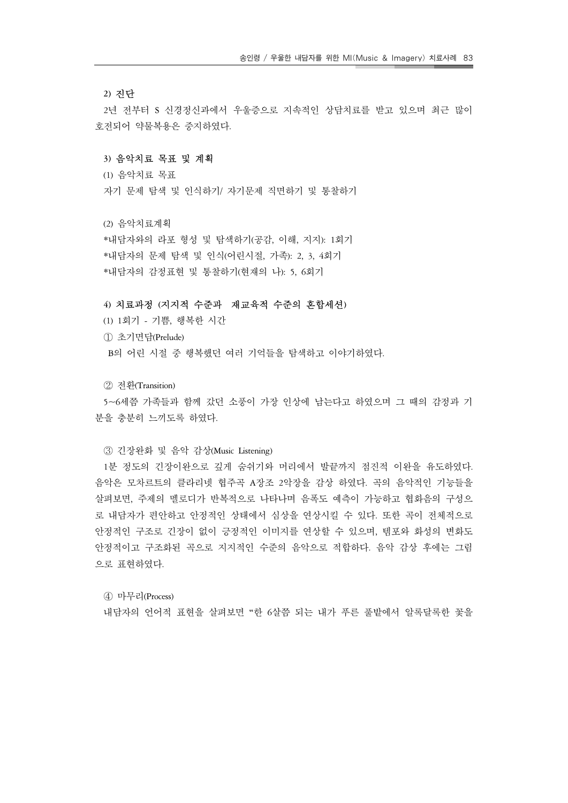#### **2)** 진단

 2년 전부터 S 신경정신과에서 우울증으로 지속적인 상담치료를 받고 있으며 최근 많이 호전되어 약물복용은 중지하였다.

#### **3)** 음악치료 목표 및 계획

(1) 음악치료 목표

자기 문제 탐색 및 인식하기/ 자기문제 직면하기 및 통찰하기

(2) 음악치료계획

 \*내담자와의 라포 형성 및 탐색하기(공감, 이해, 지지): 1회기 \*내담자의 문제 탐색 및 인식(어린시절, 가족): 2, 3, 4회기 \*내담자의 감정표현 및 통찰하기(현재의 나): 5, 6회기

#### **4)** 치료과정 **(**지지적 수준과 재교육적 수준의 혼합세션**)**

 (1) 1회기 - 기쁨, 행복한 시간 ① 초기면담(Prelude) B의 어린 시절 중 행복했던 여러 기억들을 탐색하고 이야기하였다.

② 전환(Transition)

 5~6세쯤 가족들과 함께 갔던 소풍이 가장 인상에 남는다고 하였으며 그 때의 감정과 기 분을 충분히 느끼도록 하였다.

#### ③ 긴장완화 및 음악 감상(Music Listening)

 1분 정도의 긴장이완으로 깊게 숨쉬기와 머리에서 발끝까지 점진적 이완을 유도하였다. 음악은 모차르트의 클라리넷 협주곡 A장조 2악장을 감상 하였다. 곡의 음악적인 기능들을 살펴보면, 주제의 멜로디가 반복적으로 나타나며 음폭도 예측이 가능하고 협화음의 구성으 로 내담자가 편안하고 안정적인 상태에서 심상을 연상시킬 수 있다. 또한 곡이 전체적으로 안정적인 구조로 긴장이 없이 긍정적인 이미지를 연상할 수 있으며, 템포와 화성의 변화도 안정적이고 구조화된 곡으로 지지적인 수준의 음악으로 적합하다. 음악 감상 후에는 그림 으로 표현하였다.

④ 마무리(Process)

내담자의 언어적 표현을 살펴보면 "한 6살쯤 되는 내가 푸른 풀밭에서 알록달록한 꽃을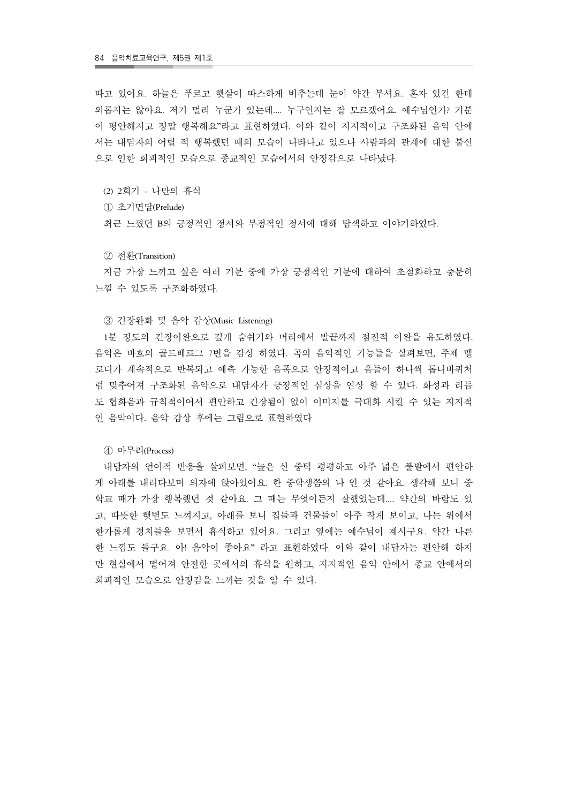따고 있어요. 하늘은 푸르고 햇살이 따스하게 비추는데 눈이 약간 부셔요. 혼자 있긴 한데 외롭지는 않아요. 저기 멀리 누군가 있는데.... 누구인지는 잘 모르겠어요. 예수님인가? 기분 이 평안해지고 정말 행복해요"라고 표현하였다. 이와 같이 지지적이고 구조화된 음악 안에 서는 내담자의 어릴 적 행복했던 때의 모습이 나타나고 있으나 사람과의 관계에 대한 불신 으로 인한 회피적인 모습으로 종교적인 모습에서의 안정감으로 나타났다.

(2) 2회기 - 나만의 휴식

① 초기면담(Prelude)

최근 느꼈던 B의 긍정적인 정서와 부정적인 정서에 대해 탐색하고 이야기하였다.

② 전환(Transition)

 지금 가장 느끼고 싶은 여러 기분 중에 가장 긍정적인 기분에 대하여 초점화하고 충분히 느낄 수 있도록 구조화하였다.

③ 긴장완화 및 음악 감상(Music Listening)

 1분 정도의 긴장이완으로 깊게 숨쉬기와 머리에서 발끝까지 점진적 이완을 유도하였다. 음악은 바흐의 골드베르그 7번을 감상 하였다. 곡의 음악적인 기능들을 살펴보면, 주제 멜 로디가 계속적으로 반복되고 예측 가능한 음폭으로 안정적이고 음들이 하나씩 톱니바퀴처 럼 맞추어져 구조화된 음악으로 내담자가 긍정적인 심상을 연상 할 수 있다. 화성과 리듬 도 협화음과 규칙적이어서 편안하고 긴장됨이 없이 이미지를 극대화 시킬 수 있는 지지적 인 음악이다. 음악 감상 후에는 그림으로 표현하였다

④ 마무리(Process)

 내담자의 언어적 반응을 살펴보면, "높은 산 중턱 평평하고 아주 넓은 풀밭에서 편안하 게 아래를 내려다보며 의자에 앉아있어요. 한 중학생쯤의 나 인 것 같아요. 생각해 보니 중 학교 때가 가장 행복했던 것 같아요. 그 때는 무엇이든지 잘했었는데.... 약간의 바람도 있 고, 따뜻한 햇볕도 느껴지고, 아래를 보니 집들과 건물들이 아주 작게 보이고, 나는 위에서 한가롭게 경치들을 보면서 휴식하고 있어요. 그리고 옆에는 예수님이 계시구요. 약간 나른 한 느낌도 들구요. 아! 음악이 좋아요" 라고 표현하였다. 이와 같이 내담자는 편안해 하지 만 현실에서 떨어져 안전한 곳에서의 휴식을 원하고, 지지적인 음악 안에서 종교 안에서의 회피적인 모습으로 안정감을 느끼는 것을 알 수 있다.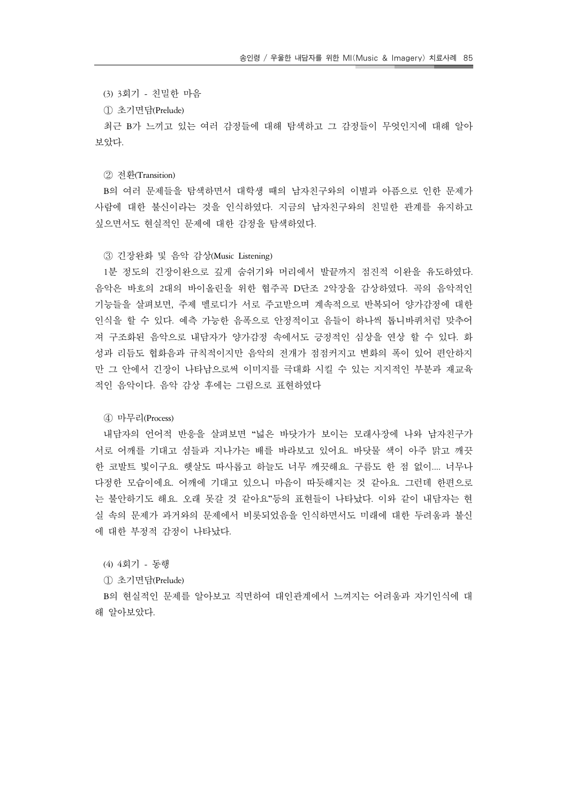(3) 3회기 - 친밀한 마음

① 초기면담(Prelude)

 최근 B가 느끼고 있는 여러 감정들에 대해 탐색하고 그 감정들이 무엇인지에 대해 알아 보았다.

② 전환(Transition)

 B의 여러 문제들을 탐색하면서 대학생 때의 남자친구와의 이별과 아픔으로 인한 문제가 사람에 대한 불신이라는 것을 인식하였다. 지금의 남자친구와의 친밀한 관계를 유지하고 싶으면서도 현실적인 문제에 대한 감정을 탐색하였다.

## ③ 긴장완화 및 음악 감상(Music Listening)

 1분 정도의 긴장이완으로 깊게 숨쉬기와 머리에서 발끝까지 점진적 이완을 유도하였다. 음악은 바흐의 2대의 바이올린을 위한 협주곡 D단조 2악장을 감상하였다. 곡의 음악적인 기능들을 살펴보면, 주제 멜로디가 서로 주고받으며 계속적으로 반복되어 양가감정에 대한 인식을 할 수 있다. 예측 가능한 음폭으로 안정적이고 음들이 하나씩 톱니바퀴처럼 맞추어 져 구조화된 음악으로 내담자가 양가감정 속에서도 긍정적인 심상을 연상 할 수 있다. 화 성과 리듬도 협화음과 규칙적이지만 음악의 전개가 점점커지고 변화의 폭이 있어 편안하지 만 그 안에서 긴장이 나타남으로써 이미지를 극대화 시킬 수 있는 지지적인 부분과 재교육 적인 음악이다. 음악 감상 후에는 그림으로 표현하였다

④ 마무리(Process)

 내담자의 언어적 반응을 살펴보면 "넓은 바닷가가 보이는 모래사장에 나와 남자친구가 서로 어깨를 기대고 섬들과 지나가는 배를 바라보고 있어요. 바닷물 색이 아주 맑고 깨끗 한 코발트 빛이구요. 햇살도 따사롭고 하늘도 너무 깨끗해요. 구름도 한 점 없이.... 너무나 다정한 모습이에요. 어깨에 기대고 있으니 마음이 따듯해지는 것 같아요. 그런데 한편으로 는 불안하기도 해요. 오래 못갈 것 같아요"등의 표현들이 나타났다. 이와 같이 내담자는 현 실 속의 문제가 과거와의 문제에서 비롯되었음을 인식하면서도 미래에 대한 두려움과 불신 에 대한 부정적 감정이 나타났다.

(4) 4회기 - 동행

① 초기면담(Prelude)

 B의 현실적인 문제를 알아보고 직면하여 대인관계에서 느껴지는 어려움과 자기인식에 대 해 알아보았다.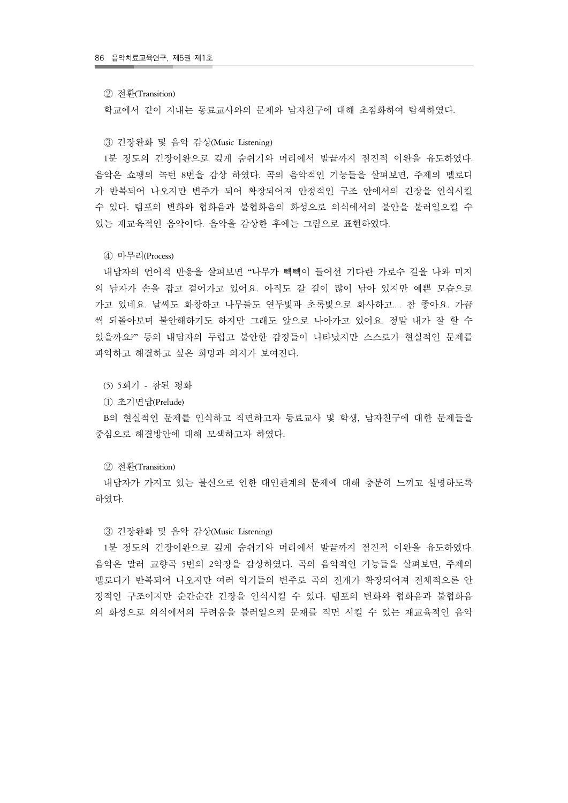#### ② 전환(Transition)

학교에서 같이 지내는 동료교사와의 문제와 남자친구에 대해 초점화하여 탐색하였다.

#### ③ 긴장완화 및 음악 감상(Music Listening)

 1분 정도의 긴장이완으로 깊게 숨쉬기와 머리에서 발끝까지 점진적 이완을 유도하였다. 음악은 쇼팽의 녹턴 8번을 감상 하였다. 곡의 음악적인 기능들을 살펴보면, 주제의 멜로디 가 반복되어 나오지만 변주가 되어 확장되어져 안정적인 구조 안에서의 긴장을 인식시킬 수 있다. 템포의 변화와 협화음과 불협화음의 화성으로 의식에서의 불안을 불러일으킬 수 있는 재교육적인 음악이다. 음악을 감상한 후에는 그림으로 표현하였다.

#### ④ 마무리(Process)

 내담자의 언어적 반응을 살펴보면 "나무가 빽빽이 들어선 기다란 가로수 길을 나와 미지 의 남자가 손을 잡고 걸어가고 있어요. 아직도 갈 길이 많이 남아 있지만 예쁜 모습으로 가고 있네요. 날씨도 화창하고 나무들도 연두빛과 초록빛으로 화사하고.... 참 좋아요. 가끔 씩 되돌아보며 불안해하기도 하지만 그래도 앞으로 나아가고 있어요. 정말 내가 잘 할 수 있을까요?" 등의 내담자의 두렵고 불안한 감정들이 나타났지만 스스로가 현실적인 문제를 파악하고 해결하고 싶은 희망과 의지가 보여진다.

(5) 5회기 - 참된 평화

① 초기면담(Prelude)

 B의 현실적인 문제를 인식하고 직면하고자 동료교사 및 학생, 남자친구에 대한 문제들을 중심으로 해결방안에 대해 모색하고자 하였다.

#### ② 전환(Transition)

 내담자가 가지고 있는 불신으로 인한 대인관계의 문제에 대해 충분히 느끼고 설명하도록 하였다.

#### ③ 긴장완화 및 음악 감상(Music Listening)

 1분 정도의 긴장이완으로 깊게 숨쉬기와 머리에서 발끝까지 점진적 이완을 유도하였다. 음악은 말러 교향곡 5번의 2악장을 감상하였다. 곡의 음악적인 기능들을 살펴보면, 주제의 멜로디가 반복되어 나오지만 여러 악기들의 변주로 곡의 전개가 확장되어져 전체적으론 안 정적인 구조이지만 순간순간 긴장을 인식시킬 수 있다. 템포의 변화와 협화음과 불협화음 의 화성으로 의식에서의 두려움을 불러일으켜 문재를 직면 시킬 수 있는 재교육적인 음악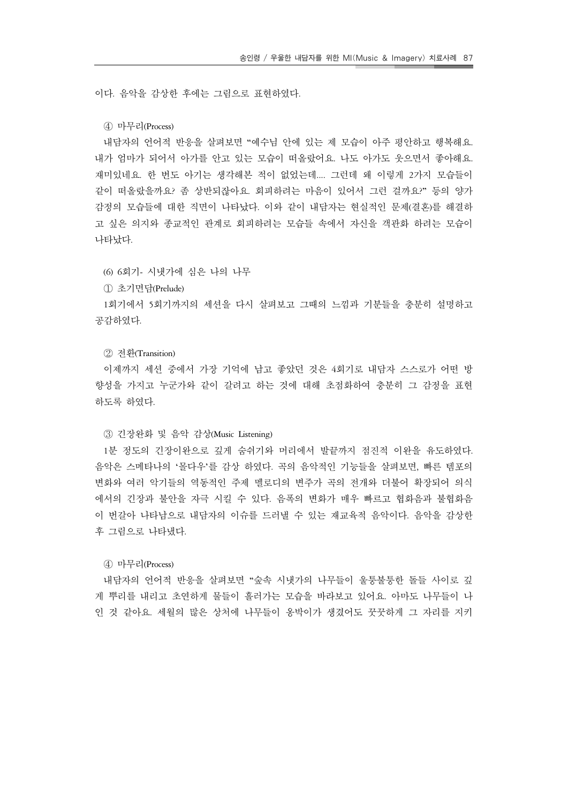이다. 음악을 감상한 후에는 그림으로 표현하였다.

#### ④ 마무리(Process)

 내담자의 언어적 반응을 살펴보면 "예수님 안에 있는 제 모습이 아주 평안하고 행복해요. 내가 엄마가 되어서 아가를 안고 있는 모습이 떠올랐어요. 나도 아가도 웃으면서 좋아해요. 재미있네요. 한 번도 아기는 생각해본 적이 없었는데.... 그런데 왜 이렇게 2가지 모습들이 같이 떠올랐을까요? 좀 상반되잖아요. 회피하려는 마음이 있어서 그런 걸까요?" 등의 양가 감정의 모습들에 대한 직면이 나타났다. 이와 같이 내담자는 현실적인 문제(결혼)를 해결하 고 싶은 의지와 종교적인 관계로 회피하려는 모습들 속에서 자신을 객관화 하려는 모습이 나타났다.

(6) 6회기- 시냇가에 심은 나의 나무

① 초기면담(Prelude)

 1회기에서 5회기까지의 세션을 다시 살펴보고 그때의 느낌과 기분들을 충분히 설명하고 공감하였다.

② 전환(Transition)

 이제까지 세션 중에서 가장 기억에 남고 좋았던 것은 4회기로 내담자 스스로가 어떤 방 향성을 가지고 누군가와 같이 갈려고 하는 것에 대해 초점화하여 충분히 그 감정을 표현 하도록 하였다.

#### ③ 긴장완화 및 음악 감상(Music Listening)

 1분 정도의 긴장이완으로 깊게 숨쉬기와 머리에서 발끝까지 점진적 이완을 유도하였다. 음악은 스메타나의 '몰다우'를 감상 하였다. 곡의 음악적인 기능들을 살펴보면, 빠른 템포의 변화와 여러 악기들의 역동적인 주제 멜로디의 변주가 곡의 전개와 더불어 확장되어 의식 에서의 긴장과 불안을 자극 시킬 수 있다. 음폭의 변화가 매우 빠르고 협화음과 불협화음 이 번갈아 나타남으로 내담자의 이슈를 드러낼 수 있는 재교육적 음악이다. 음악을 감상한 후 그림으로 나타냈다.

#### ④ 마무리(Process)

 내담자의 언어적 반응을 살펴보면 "숲속 시냇가의 나무들이 울퉁불퉁한 돌들 사이로 깊 게 뿌리를 내리고 초연하게 물들이 흘러가는 모습을 바라보고 있어요. 아마도 나무들이 나 인 것 같아요. 세월의 많은 상처에 나무들이 옹박이가 생겼어도 꿋꿋하게 그 자리를 지키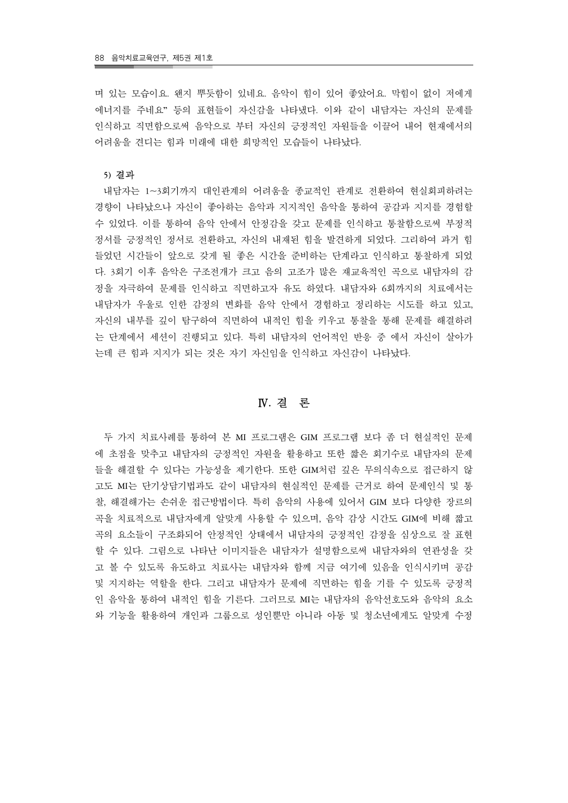며 있는 모습이요. 왠지 뿌듯함이 있네요. 음악이 힘이 있어 좋았어요. 막힘이 없이 저에게 에너지를 주네요" 등의 표현들이 자신감을 나타냈다. 이와 같이 내담자는 자신의 문제를 인식하고 직면함으로써 음악으로 부터 자신의 긍정적인 자원들을 이끌어 내어 현재에서의 어려움을 견디는 힘과 미래에 대한 희망적인 모습들이 나타났다.

#### **5)** 결과

 내담자는 1~3회기까지 대인관계의 어려움을 종교적인 관계로 전환하여 현실회피하려는 경향이 나타났으나 자신이 좋아하는 음악과 지지적인 음악을 통하여 공감과 지지를 경험할 수 있었다. 이를 통하여 음악 안에서 안정감을 갖고 문제를 인식하고 통찰함으로써 부정적 정서를 긍정적인 정서로 전환하고, 자신의 내재된 힘을 발견하게 되었다. 그리하여 과거 힘 들었던 시간들이 앞으로 갖게 될 좋은 시간을 준비하는 단계라고 인식하고 통찰하게 되었 다. 3회기 이후 음악은 구조전개가 크고 음의 고조가 많은 재교육적인 곡으로 내담자의 감 정을 자극하여 문제를 인식하고 직면하고자 유도 하였다. 내담자와 6회까지의 치료에서는 내담자가 우울로 인한 감정의 변화를 음악 안에서 경험하고 정리하는 시도를 하고 있고, 자신의 내부를 깊이 탐구하여 직면하여 내적인 힘을 키우고 통찰을 통해 문제를 해결하려 는 단계에서 세션이 진행되고 있다. 특히 내담자의 언어적인 반응 중 에서 자신이 살아가 는데 큰 힘과 지지가 되는 것은 자기 자신임을 인식하고 자신감이 나타났다.

## Ⅳ**.** 결 론

 두 가지 치료사례를 통하여 본 MI 프로그램은 GIM 프로그램 보다 좀 더 현실적인 문제 에 초점을 맞추고 내담자의 긍정적인 자원을 활용하고 또한 짧은 회기수로 내담자의 문제 들을 해결할 수 있다는 가능성을 제기한다. 또한 GIM처럼 깊은 무의식속으로 접근하지 않 고도 MI는 단기상담기법과도 같이 내담자의 현실적인 문제를 근거로 하여 문제인식 및 통 찰, 해결해가는 손쉬운 접근방법이다. 특히 음악의 사용에 있어서 GIM 보다 다양한 장르의 곡을 치료적으로 내담자에게 알맞게 사용할 수 있으며, 음악 감상 시간도 GIM에 비해 짧고 곡의 요소들이 구조화되어 안정적인 상태에서 내담자의 긍정적인 감정을 심상으로 잘 표현 할 수 있다. 그림으로 나타난 이미지들은 내담자가 설명함으로써 내담자와의 연관성을 갖 고 볼 수 있도록 유도하고 치료사는 내담자와 함께 지금 여기에 있음을 인식시키며 공감 및 지지하는 역할을 한다. 그리고 내담자가 문제에 직면하는 힘을 기를 수 있도록 긍정적 인 음악을 통하여 내적인 힘을 기른다. 그러므로 MI는 내담자의 음악선호도와 음악의 요소 와 기능을 활용하여 개인과 그룹으로 성인뿐만 아니라 아동 및 청소년에게도 알맞게 수정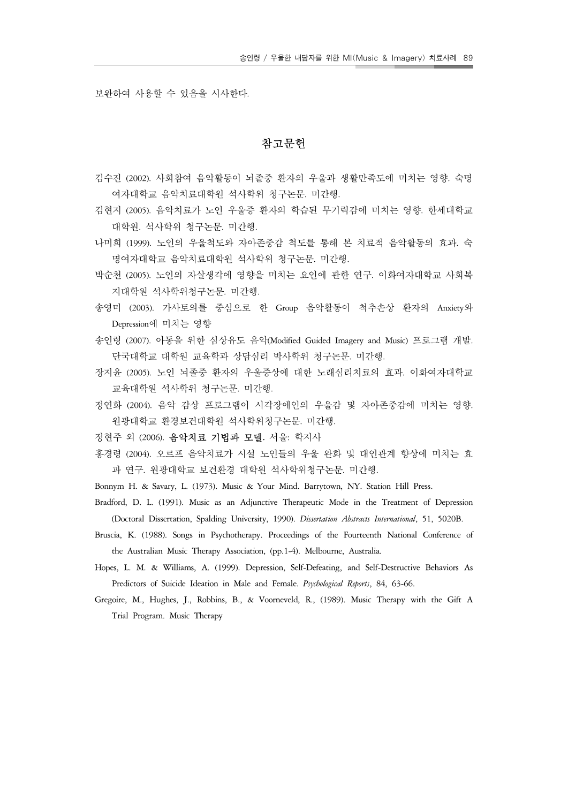보완하여 사용할 수 있음을 시사한다.

## 참고문헌

- 김수진 (2002). 사회참여 음악활동이 뇌졸중 환자의 우울과 생활만족도에 미치는 영향. 숙명 여자대학교 음악치료대학원 석사학위 청구논문. 미간행.
- 김현지 (2005). 음악치료가 노인 우울증 환자의 학습된 무기력감에 미치는 영향. 한세대학교 대학원. 석사학위 청구논문. 미간행.
- 나미희 (1999). 노인의 우울척도와 자아존중감 척도를 통해 본 치료적 음악활동의 효과. 숙 명여자대학교 음악치료대학원 석사학위 청구논문. 미간행.
- 박순천 (2005). 노인의 자살생각에 영향을 미치는 요인에 관한 연구. 이화여자대학교 사회복 지대학원 석사학위청구논문. 미간행.
- 송영미 (2003). 가사토의를 중심으로 한 Group 음악활동이 척추손상 환자의 Anxiety와 Depression에 미치는 영향
- 송인령 (2007). 아동을 위한 심상유도 음악(Modified Guided Imagery and Music) 프로그램 개발. 단국대학교 대학원 교육학과 상담심리 박사학위 청구논문. 미간행.
- 장지윤 (2005). 노인 뇌졸중 환자의 우울증상에 대한 노래심리치료의 효과. 이화여자대학교 교육대학원 석사학위 청구논문. 미간행.
- 정연화 (2004). 음악 감상 프로그램이 시각장애인의 우울감 및 자아존중감에 미치는 영향. 원광대학교 환경보건대학원 석사학위청구논문. 미간행.
- 정현주 외 (2006). 음악치료 기법과 모델**.** 서울: 학지사
- 홍경령 (2004). 오르프 음악치료가 시설 노인들의 우울 완화 및 대인관계 향상에 미치는 효 과 연구. 원광대학교 보건환경 대학원 석사학위청구논문. 미간행.
- Bonnym H. & Savary, L. (1973). Music & Your Mind. Barrytown, NY. Station Hill Press.
- Bradford, D. L. (1991). Music as an Adjunctive Therapeutic Mode in the Treatment of Depression (Doctoral Dissertation, Spalding University, 1990). *Dissertation Abstracts International*, 51, 5020B.
- Bruscia, K. (1988). Songs in Psychotherapy. Proceedings of the Fourteenth National Conference of the Australian Music Therapy Association, (pp.1-4). Melbourne, Australia.
- Hopes, L. M. & Williams, A. (1999). Depression, Self-Defeating, and Self-Destructive Behaviors As Predictors of Suicide Ideation in Male and Female. *Psychological Reports*, 84, 63-66.
- Gregoire, M., Hughes, J., Robbins, B., & Voorneveld, R., (1989). Music Therapy with the Gift A Trial Program. Music Therapy